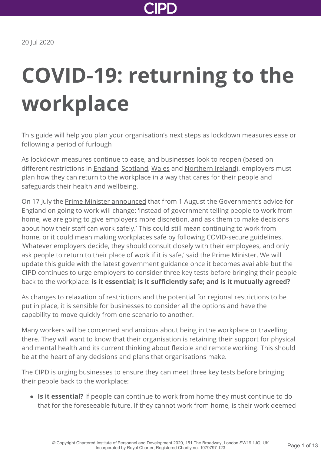

# **COVID-19: returning to the workplace**

This guide will help you plan your organisation's next steps as lockdown measures ease or following a period of furlough

As lockdown measures continue to ease, and businesses look to reopen (based on different restrictions in [England](https://www.gov.uk/coronavirus-business-reopening), [Scotland,](https://www.gov.scot/publications/coronavirus-covid-19-phase-2-business-and-physical-distancing-guidance/) [Wales](https://gov.wales/workplace-guidance-employers-and-employees-covid19) and [Northern Ireland](https://www.nidirect.gov.uk/information-and-services/coronavirus-covid-19/advice-businesses-and-workers)), employers must plan how they can return to the workplace in a way that cares for their people and safeguards their health and wellbeing.

On 17 July the [Prime Minister announced](https://www.gov.uk/government/speeches/pm-statement-on-coronavirus-17-july-2020) that from 1 August the Government's advice for England on going to work will change: 'Instead of government telling people to work from home, we are going to give employers more discretion, and ask them to make decisions about how their staff can work safely.' This could still mean continuing to work from home, or it could mean making workplaces safe by following COVID-secure guidelines. 'Whatever employers decide, they should consult closely with their employees, and only ask people to return to their place of work if it is safe,' said the Prime Minister. We will update this guide with the latest government guidance once it becomes available but the CIPD continues to urge employers to consider three key tests before bringing their people back to the workplace: **is it essential; is it sufficiently safe; and is it mutually agreed?**

As changes to relaxation of restrictions and the potential for regional restrictions to be put in place, it is sensible for businesses to consider all the options and have the capability to move quickly from one scenario to another.

Many workers will be concerned and anxious about being in the workplace or travelling there. They will want to know that their organisation is retaining their support for physical and mental health and its current thinking about flexible and remote working. This should be at the heart of any decisions and plans that organisations make.

The CIPD is urging businesses to ensure they can meet three key tests before bringing their people back to the workplace:

**Is it essential?** If people can continue to work from home they must continue to do that for the foreseeable future. If they cannot work from home, is their work deemed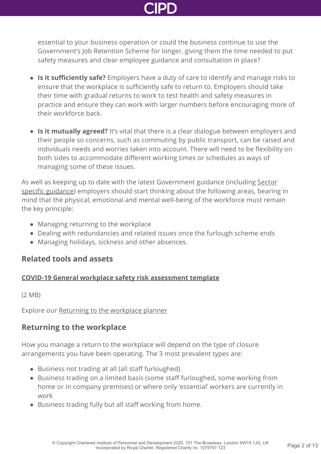essential to your business operation or could the business continue to use the Government's Job Retention Scheme for longer, giving them the time needed to put safety measures and clear employee guidance and consultation in place?

- **Is it sufficiently safe?** Employers have a duty of care to identify and manage risks to ensure that the workplace is sufficiently safe to return to. Employers should take their time with gradual returns to work to test health and safety measures in practice and ensure they can work with larger numbers before encouraging more of their workforce back.
- **Is it mutually agreed?** It's vital that there is a clear dialogue between employers and their people so concerns, such as commuting by public transport, can be raised and individuals needs and worries taken into account. There will need to be flexibility on both sides to accommodate different working times or schedules as ways of managing some of these issues.

[As well as keeping up to date with the latest Government guidance \(including Sector](https://www.gov.uk/coronavirus-business-reopening) specific guidance) employers should start thinking about the following areas, bearing in mind that the physical, emotional and mental well-being of the workforce must remain the key principle:

- Managing returning to the workplace
- Dealing with redundancies and related issues once the furlough scheme ends
- Managing holidays, sickness and other absences.

# **Related tools and assets**

# **[COVID-19 General workplace safety risk assessment template](http://www.cipd.co.uk/Images/general-workplace-safety-risk-assessment-example_tcm18-77042.pdf)**

(2 MB)

Explore our [Returning to the workplace planner](http://www.cipd.co.uk/knowledge/fundamentals/emp-law/employees/covid-19-workplace-return-planner/)

# **Returning to the workplace**

How you manage a return to the workplace will depend on the type of closure arrangements you have been operating. The 3 most prevalent types are:

- Business not trading at all (all staff furloughed)
- Business trading on a limited basis (some staff furloughed, some working from home or in company premises) or where only 'essential' workers are currently in work
- Business trading fully but all staff working from home.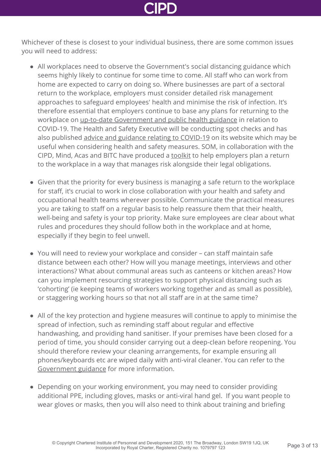Whichever of these is closest to your individual business, there are some common issues you will need to address:

- All workplaces need to observe the Government's social distancing guidance which seems highly likely to continue for some time to come. All staff who can work from home are expected to carry on doing so. Where businesses are part of a sectoral return to the workplace, employers must consider detailed risk management approaches to safeguard employees' health and minimise the risk of infection. It's therefore essential that employers continue to base any plans for returning to the workplace on [up-to-date Government and public health guidance](https://www.gov.uk/government/publications/guidance-to-employers-and-businesses-about-covid-19/guidance-for-employers-and-businesses-on-coronavirus-covid-19#social-distancing-in-the-workplace---principles) in relation to COVID-19. The Health and Safety Executive will be conducting spot checks and has also published [advice and guidance relating to COVID-19](https://www.hse.gov.uk/news/coronavirus.htm) on its website which may be useful when considering health and safety measures. SOM, in collaboration with the CIPD, Mind, Acas and BITC have produced a [toolkit](https://www.som.org.uk/return-to-work/) to help employers plan a return to the workplace in a way that manages risk alongside their legal obligations.
- Given that the priority for every business is managing a safe return to the workplace for staff, it's crucial to work in close collaboration with your health and safety and occupational health teams wherever possible. Communicate the practical measures you are taking to staff on a regular basis to help reassure them that their health, well-being and safety is your top priority. Make sure employees are clear about what rules and procedures they should follow both in the workplace and at home, especially if they begin to feel unwell.
- You will need to review your workplace and consider can staff maintain safe distance between each other? How will you manage meetings, interviews and other interactions? What about communal areas such as canteens or kitchen areas? How can you implement resourcing strategies to support physical distancing such as 'cohorting' (ie keeping teams of workers working together and as small as possible), or staggering working hours so that not all staff are in at the same time?
- All of the key protection and hygiene measures will continue to apply to minimise the spread of infection, such as reminding staff about regular and effective handwashing, and providing hand sanitiser. If your premises have been closed for a period of time, you should consider carrying out a deep-clean before reopening. You should therefore review your cleaning arrangements, for example ensuring all phones/keyboards etc are wiped daily with anti-viral cleaner. You can refer to the [Government guidance](https://www.gov.uk/government/publications/guidance-to-employers-and-businesses-about-covid-19/guidance-for-employers-and-businesses-on-coronavirus-covid-19) for more information.
- Depending on your working environment, you may need to consider providing additional PPE, including gloves, masks or anti-viral hand gel. If you want people to wear gloves or masks, then you will also need to think about training and briefing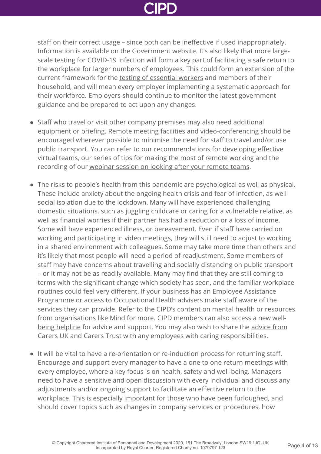staff on their correct usage – since both can be ineffective if used inappropriately. Information is available on the [Government website](https://www.gov.uk/government/publications/wuhan-novel-coronavirus-infection-prevention-and-control/covid-19-personal-protective-equipment-ppe). It's also likely that more largescale testing for COVID-19 infection will form a key part of facilitating a safe return to the workplace for larger numbers of employees. This could form an extension of the current framework for the [testing of essential workers](https://www.gov.uk/guidance/coronavirus-covid-19-getting-tested) and members of their household, and will mean every employer implementing a systematic approach for their workforce. Employers should continue to monitor the latest government guidance and be prepared to act upon any changes.

- Staff who travel or visit other company premises may also need additional equipment or briefing. Remote meeting facilities and video-conferencing should be encouraged wherever possible to minimise the need for staff to travel and/or use [public transport. You can refer to our recommendations for developing effective](https://www.cipd.co.uk/knowledge/fundamentals/relations/flexible-working/developing-virtual-teams) virtual teams, our series of [tips for making the most of remote working](https://www.cipd.co.uk/knowledge/fundamentals/relations/flexible-working/remote-working-top-tips) and the recording of our [webinar session on looking after your remote teams](http://www.cipd.co.uk/news-views/coronavirus/webinars/health-well-being-remote-teams-20-april-2020/).
- The risks to people's health from this pandemic are psychological as well as physical. These include anxiety about the ongoing health crisis and fear of infection, as well social isolation due to the lockdown. Many will have experienced challenging domestic situations, such as juggling childcare or caring for a vulnerable relative, as well as financial worries if their partner has had a reduction or a loss of income. Some will have experienced illness, or bereavement. Even if staff have carried on working and participating in video meetings, they will still need to adjust to working in a shared environment with colleagues. Some may take more time than others and it's likely that most people will need a period of readjustment. Some members of staff may have concerns about travelling and socially distancing on public transport – or it may not be as readily available. Many may find that they are still coming to terms with the significant change which society has seen, and the familiar workplace routines could feel very different. If your business has an Employee Assistance Programme or access to Occupational Health advisers make staff aware of the services they can provide. Refer to the CIPD's content on mental health or resources [from organisations like M](https://www.cipd.co.uk/membership/benefits/wellbeing-helpline-services)[ind](https://www.mind.org.uk/information-support/coronavirus/coronavirus-and-your-wellbeing/) [for more. CIPD members can also access a new well](https://www.cipd.co.uk/membership/benefits/wellbeing-helpline-services)[being helpline for advice and support. You may also wish to share the advice from](https://www.carersuk.org/for-professionals/policy/policy-library/statement-on-covid-19-coronavirus) Carers UK and Carers Trust with any employees with caring responsibilities.
- It will be vital to have a re-orientation or re-induction process for returning staff. Encourage and support every manager to have a one to one return meetings with every employee, where a key focus is on health, safety and well-being. Managers need to have a sensitive and open discussion with every individual and discuss any adjustments and/or ongoing support to facilitate an effective return to the workplace. This is especially important for those who have been furloughed, and should cover topics such as changes in company services or procedures, how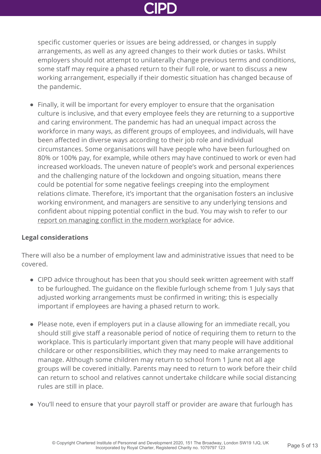specific customer queries or issues are being addressed, or changes in supply arrangements, as well as any agreed changes to their work duties or tasks. Whilst employers should not attempt to unilaterally change previous terms and conditions, some staff may require a phased return to their full role, or want to discuss a new working arrangement, especially if their domestic situation has changed because of the pandemic.

Finally, it will be important for every employer to ensure that the organisation culture is inclusive, and that every employee feels they are returning to a supportive and caring environment. The pandemic has had an unequal impact across the workforce in many ways, as different groups of employees, and individuals, will have been affected in diverse ways according to their job role and individual circumstances. Some organisations will have people who have been furloughed on 80% or 100% pay, for example, while others may have continued to work or even had increased workloads. The uneven nature of people's work and personal experiences and the challenging nature of the lockdown and ongoing situation, means there could be potential for some negative feelings creeping into the employment relations climate. Therefore, it's important that the organisation fosters an inclusive working environment, and managers are sensitive to any underlying tensions and confident about nipping potential conflict in the bud. You may wish to refer to our [report on managing conflict in the modern workplace](http://www.cipd.co.uk/knowledge/fundamentals/relations/disputes/managing-workplace-conflict-report/) for advice.

### **Legal considerations**

There will also be a number of employment law and administrative issues that need to be covered.

- CIPD advice throughout has been that you should seek written agreement with staff to be furloughed. The guidance on the flexible furlough scheme from 1 July says that adjusted working arrangements must be confirmed in writing; this is especially important if employees are having a phased return to work.
- Please note, even if employers put in a clause allowing for an immediate recall, you should still give staff a reasonable period of notice of requiring them to return to the workplace. This is particularly important given that many people will have additional childcare or other responsibilities, which they may need to make arrangements to manage. Although some children may return to school from 1 June not all age groups will be covered initially. Parents may need to return to work before their child can return to school and relatives cannot undertake childcare while social distancing rules are still in place.
- You'll need to ensure that your payroll staff or provider are aware that furlough has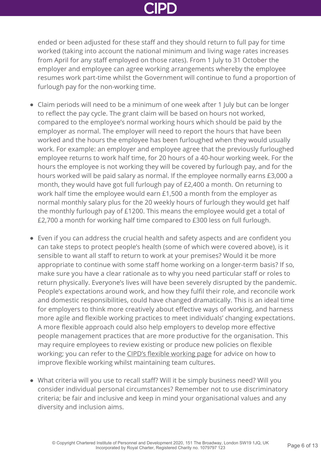ended or been adjusted for these staff and they should return to full pay for time worked (taking into account the national minimum and living wage rates increases from April for any staff employed on those rates). From 1 July to 31 October the employer and employee can agree working arrangements whereby the employee resumes work part-time whilst the Government will continue to fund a proportion of furlough pay for the non-working time.

- Claim periods will need to be a minimum of one week after 1 July but can be longer to reflect the pay cycle. The grant claim will be based on hours not worked, compared to the employee's normal working hours which should be paid by the employer as normal. The employer will need to report the hours that have been worked and the hours the employee has been furloughed when they would usually work. For example: an employer and employee agree that the previously furloughed employee returns to work half time, for 20 hours of a 40-hour working week. For the hours the employee is not working they will be covered by furlough pay, and for the hours worked will be paid salary as normal. If the employee normally earns £3,000 a month, they would have got full furlough pay of £2,400 a month. On returning to work half time the employee would earn £1,500 a month from the employer as normal monthly salary plus for the 20 weekly hours of furlough they would get half the monthly furlough pay of £1200. This means the employee would get a total of £2,700 a month for working half time compared to £300 less on full furlough.
- Even if you can address the crucial health and safety aspects and are confident you can take steps to protect people's health (some of which were covered above), is it sensible to want all staff to return to work at your premises? Would it be more appropriate to continue with some staff home working on a longer-term basis? If so, make sure you have a clear rationale as to why you need particular staff or roles to return physically. Everyone's lives will have been severely disrupted by the pandemic. People's expectations around work, and how they fulfil their role, and reconcile work and domestic responsibilities, could have changed dramatically. This is an ideal time for employers to think more creatively about effective ways of working, and harness more agile and flexible working practices to meet individuals' changing expectations. A more flexible approach could also help employers to develop more effective people management practices that are more productive for the organisation. This may require employees to review existing or produce new policies on flexible working; you can refer to the [CIPD's flexible working page](http://www.cipd.co.uk/knowledge/fundamentals/relations/flexible-working/) for advice on how to improve flexible working whilst maintaining team cultures.
- What criteria will you use to recall staff? Will it be simply business need? Will you consider individual personal circumstances? Remember not to use discriminatory criteria; be fair and inclusive and keep in mind your organisational values and any diversity and inclusion aims.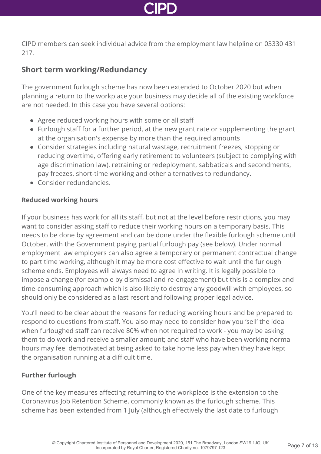

CIPD members can seek individual advice from the employment law helpline on 03330 431 217.

# **Short term working/Redundancy**

The government furlough scheme has now been extended to October 2020 but when planning a return to the workplace your business may decide all of the existing workforce are not needed. In this case you have several options:

- Agree reduced working hours with some or all staff
- Furlough staff for a further period, at the new grant rate or supplementing the grant at the organisation's expense by more than the required amounts
- Consider strategies including natural wastage, recruitment freezes, stopping or reducing overtime, offering early retirement to volunteers (subject to complying with age discrimination law), retraining or redeployment, sabbaticals and secondments, pay freezes, short-time working and other alternatives to redundancy.
- Consider redundancies.

### **Reduced working hours**

If your business has work for all its staff, but not at the level before restrictions, you may want to consider asking staff to reduce their working hours on a temporary basis. This needs to be done by agreement and can be done under the flexible furlough scheme until October, with the Government paying partial furlough pay (see below). Under normal employment law employers can also agree a temporary or permanent contractual change to part time working, although it may be more cost effective to wait until the furlough scheme ends. Employees will always need to agree in writing. It is legally possible to impose a change (for example by dismissal and re-engagement) but this is a complex and time-consuming approach which is also likely to destroy any goodwill with employees, so should only be considered as a last resort and following proper legal advice.

You'll need to be clear about the reasons for reducing working hours and be prepared to respond to questions from staff. You also may need to consider how you 'sell' the idea when furloughed staff can receive 80% when not required to work - you may be asking them to do work and receive a smaller amount; and staff who have been working normal hours may feel demotivated at being asked to take home less pay when they have kept the organisation running at a difficult time.

### **Further furlough**

One of the key measures affecting returning to the workplace is the extension to the Coronavirus Job Retention Scheme, commonly known as the furlough scheme. This scheme has been extended from 1 July (although effectively the last date to furlough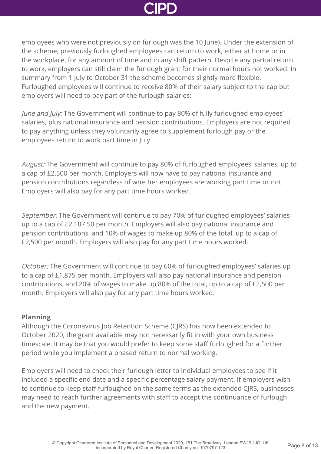employees who were not previously on furlough was the 10 June). Under the extension of the scheme, previously furloughed employees can return to work, either at home or in the workplace, for any amount of time and in any shift pattern. Despite any partial return to work, employers can still claim the furlough grant for their normal hours not worked. In summary from 1 July to October 31 the scheme becomes slightly more flexible. Furloughed employees will continue to receive 80% of their salary subject to the cap but employers will need to pay part of the furlough salaries:

June and July: The Government will continue to pay 80% of fully furloughed employees' salaries, plus national insurance and pension contributions. Employers are not required to pay anything unless they voluntarily agree to supplement furlough pay or the employees return to work part time in July.

August: The Government will continue to pay 80% of furloughed employees' salaries, up to a cap of £2,500 per month. Employers will now have to pay national insurance and pension contributions regardless of whether employees are working part time or not. Employers will also pay for any part time hours worked.

September: The Government will continue to pay 70% of furloughed employees' salaries up to a cap of £2,187.50 per month. Employers will also pay national insurance and pension contributions, and 10% of wages to make up 80% of the total, up to a cap of £2,500 per month. Employers will also pay for any part time hours worked.

October: The Government will continue to pay 60% of furloughed employees' salaries up to a cap of £1,875 per month. Employers will also pay national insurance and pension contributions, and 20% of wages to make up 80% of the total, up to a cap of £2,500 per month. Employers will also pay for any part time hours worked.

### **Planning**

Although the Coronavirus Job Retention Scheme (CJRS) has now been extended to October 2020, the grant available may not necessarily fit in with your own business timescale. It may be that you would prefer to keep some staff furloughed for a further period while you implement a phased return to normal working.

Employers will need to check their furlough letter to individual employees to see if it included a specific end date and a specific percentage salary payment. If employers wish to continue to keep staff furloughed on the same terms as the extended CJRS, businesses may need to reach further agreements with staff to accept the continuance of furlough and the new payment.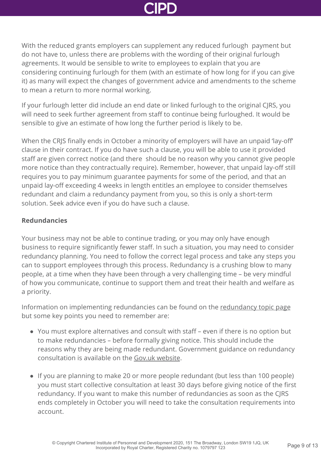With the reduced grants employers can supplement any reduced furlough payment but do not have to, unless there are problems with the wording of their original furlough agreements. It would be sensible to write to employees to explain that you are considering continuing furlough for them (with an estimate of how long for if you can give it) as many will expect the changes of government advice and amendments to the scheme to mean a return to more normal working.

If your furlough letter did include an end date or linked furlough to the original CJRS, you will need to seek further agreement from staff to continue being furloughed. It would be sensible to give an estimate of how long the further period is likely to be.

When the CRJS finally ends in October a minority of employers will have an unpaid 'lay-off' clause in their contract. If you do have such a clause, you will be able to use it provided staff are given correct notice (and there should be no reason why you cannot give people more notice than they contractually require). Remember, however, that unpaid lay-off still requires you to pay minimum guarantee payments for some of the period, and that an unpaid lay-off exceeding 4 weeks in length entitles an employee to consider themselves redundant and claim a redundancy payment from you, so this is only a short-term solution. Seek advice even if you do have such a clause.

### **Redundancies**

Your business may not be able to continue trading, or you may only have enough business to require significantly fewer staff. In such a situation, you may need to consider redundancy planning. You need to follow the correct legal process and take any steps you can to support employees through this process. Redundancy is a crushing blow to many people, at a time when they have been through a very challenging time – be very mindful of how you communicate, continue to support them and treat their health and welfare as a priority.

Information on implementing redundancies can be found on the [redundancy topic page](http://www.cipd.co.uk/knowledge/fundamentals/emp-law/redundancy/) but some key points you need to remember are:

- You must explore alternatives and consult with staff even if there is no option but to make redundancies – before formally giving notice. This should include the reasons why they are being made redundant. Government guidance on redundancy consultation is available on the [Gov.uk website](https://www.gov.uk/redundancy-your-rights/consultation).
- If you are planning to make 20 or more people redundant (but less than 100 people) you must start collective consultation at least 30 days before giving notice of the first redundancy. If you want to make this number of redundancies as soon as the CJRS ends completely in October you will need to take the consultation requirements into account.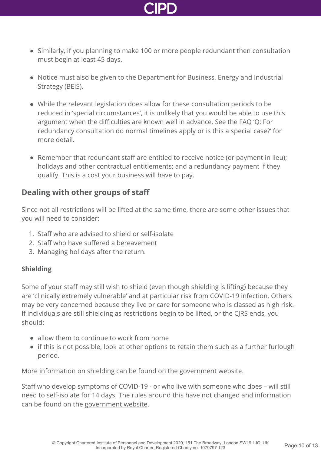

- Similarly, if you planning to make 100 or more people redundant then consultation must begin at least 45 days.
- Notice must also be given to the Department for Business, Energy and Industrial Strategy (BEIS).
- While the relevant legislation does allow for these consultation periods to be reduced in 'special circumstances', it is unlikely that you would be able to use this argument when the difficulties are known well in advance. See the FAQ 'Q: For redundancy consultation do normal timelines apply or is this a special case?' for more detail.
- Remember that redundant staff are entitled to receive notice (or payment in lieu): holidays and other contractual entitlements; and a redundancy payment if they qualify. This is a cost your business will have to pay.

# **Dealing with other groups of staff**

Since not all restrictions will be lifted at the same time, there are some other issues that you will need to consider:

- 1. Staff who are advised to shield or self-isolate
- 2. Staff who have suffered a bereavement
- 3. Managing holidays after the return.

# **Shielding**

Some of your staff may still wish to shield (even though shielding is lifting) because they are 'clinically extremely vulnerable' and at particular risk from COVID-19 infection. Others may be very concerned because they live or care for someone who is classed as high risk. If individuals are still shielding as restrictions begin to be lifted, or the CJRS ends, you should:

- allow them to continue to work from home
- if this is not possible, look at other options to retain them such as a further furlough period.

More [information on shielding](https://www.gov.uk/government/publications/guidance-on-shielding-and-protecting-extremely-vulnerable-persons-from-covid-19/guidance-on-shielding-and-protecting-extremely-vulnerable-persons-from-covid-19) can be found on the government website.

Staff who develop symptoms of COVID-19 - or who live with someone who does – will still need to self-isolate for 14 days. The rules around this have not changed and information can be found on the [government website](https://www.gov.uk/government/publications/covid-19-stay-at-home-guidance).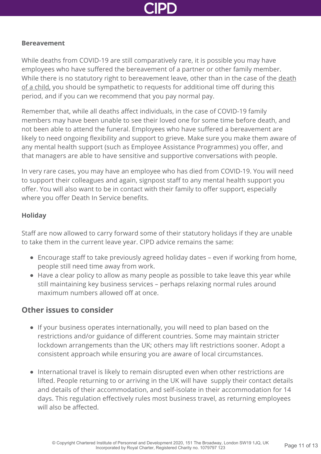

### **Bereavement**

While deaths from COVID-19 are still comparatively rare, it is possible you may have employees who have suffered the bereavement of a partner or other family member. [While there is no statutory right to bereavement leave, other than in the case of the death](https://www.gov.uk/parental-bereavement-pay-leave) of a child, you should be sympathetic to requests for additional time off during this period, and if you can we recommend that you pay normal pay.

Remember that, while all deaths affect individuals, in the case of COVID-19 family members may have been unable to see their loved one for some time before death, and not been able to attend the funeral. Employees who have suffered a bereavement are likely to need ongoing flexibility and support to grieve. Make sure you make them aware of any mental health support (such as Employee Assistance Programmes) you offer, and that managers are able to have sensitive and supportive conversations with people.

In very rare cases, you may have an employee who has died from COVID-19. You will need to support their colleagues and again, signpost staff to any mental health support you offer. You will also want to be in contact with their family to offer support, especially where you offer Death In Service benefits.

### **Holiday**

Staff are now allowed to carry forward some of their statutory holidays if they are unable to take them in the current leave year. CIPD advice remains the same:

- Encourage staff to take previously agreed holiday dates even if working from home, people still need time away from work.
- Have a clear policy to allow as many people as possible to take leave this year while still maintaining key business services – perhaps relaxing normal rules around maximum numbers allowed off at once.

# **Other issues to consider**

- If your business operates internationally, you will need to plan based on the restrictions and/or guidance of different countries. Some may maintain stricter lockdown arrangements than the UK; others may lift restrictions sooner. Adopt a consistent approach while ensuring you are aware of local circumstances.
- International travel is likely to remain disrupted even when other restrictions are lifted. People returning to or arriving in the UK will have supply their contact details and details of their accommodation, and self-isolate in their accommodation for 14 days. This regulation effectively rules most business travel, as returning employees will also be affected.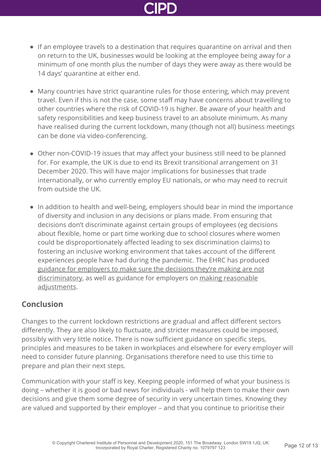- If an employee travels to a destination that requires quarantine on arrival and then on return to the UK, businesses would be looking at the employee being away for a minimum of one month plus the number of days they were away as there would be 14 days' quarantine at either end.
- Many countries have strict quarantine rules for those entering, which may prevent travel. Even if this is not the case, some staff may have concerns about travelling to other countries where the risk of COVID-19 is higher. Be aware of your health and safety responsibilities and keep business travel to an absolute minimum. As many have realised during the current lockdown, many (though not all) business meetings can be done via video-conferencing.
- Other non-COVID-19 issues that may affect your business still need to be planned for. For example, the UK is due to end its Brexit transitional arrangement on 31 December 2020. This will have major implications for businesses that trade internationally, or who currently employ EU nationals, or who may need to recruit from outside the UK.
- In addition to health and well-being, employers should bear in mind the importance of diversity and inclusion in any decisions or plans made. From ensuring that decisions don't discriminate against certain groups of employees (eg decisions about flexible, home or part time working due to school closures where women could be disproportionately affected leading to sex discrimination claims) to fostering an inclusive working environment that takes account of the different experiences people have had during the pandemic. The EHRC has produced [guidance for employers to make sure the decisions they're making are not](https://www.equalityhumanrights.com/en/advice-and-guidance/coronavirus-covid-19-guidance-employers) [discriminatory, as well as guidance for employers on making reasonable](https://www.equalityhumanrights.com/en/advice-and-guidance/coronavirus-covid-19-guidance-employers-reasonable-adjustments-employees) adjustments.

# **Conclusion**

Changes to the current lockdown restrictions are gradual and affect different sectors differently. They are also likely to fluctuate, and stricter measures could be imposed, possibly with very little notice. There is now sufficient guidance on specific steps, principles and measures to be taken in workplaces and elsewhere for every employer will need to consider future planning. Organisations therefore need to use this time to prepare and plan their next steps.

Communication with your staff is key. Keeping people informed of what your business is doing – whether it is good or bad news for individuals - will help them to make their own decisions and give them some degree of security in very uncertain times. Knowing they are valued and supported by their employer – and that you continue to prioritise their